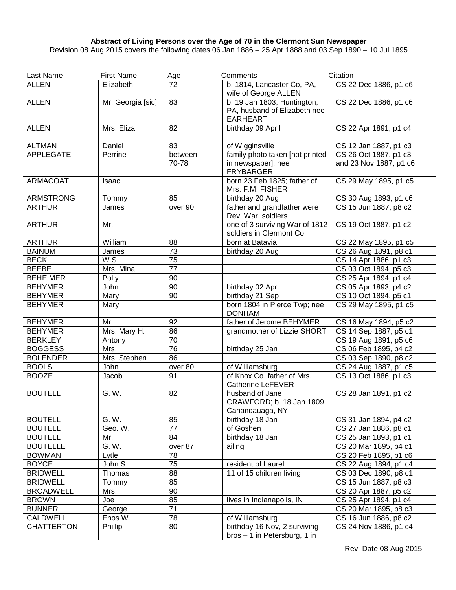## **Abstract of Living Persons over the Age of 70 in the Clermont Sun Newspaper**

Revision 08 Aug 2015 covers the following dates 06 Jan 1886 – 25 Apr 1888 and 03 Sep 1890 – 10 Jul 1895

| Last Name         | <b>First Name</b>     | Age              | Comments                                                                       | Citation                                        |
|-------------------|-----------------------|------------------|--------------------------------------------------------------------------------|-------------------------------------------------|
| <b>ALLEN</b>      | Elizabeth             | 72               | b. 1814, Lancaster Co, PA,<br>wife of George ALLEN                             | CS 22 Dec 1886, p1 c6                           |
| <b>ALLEN</b>      | Mr. Georgia [sic]     | 83               | b. 19 Jan 1803, Huntington,<br>PA, husband of Elizabeth nee<br><b>EARHEART</b> | CS 22 Dec 1886, p1 c6                           |
| <b>ALLEN</b>      | Mrs. Eliza            | 82               | birthday 09 April                                                              | CS 22 Apr 1891, p1 c4                           |
| <b>ALTMAN</b>     | Daniel                | 83               | of Wigginsville                                                                | CS 12 Jan 1887, p1 c3                           |
| <b>APPLEGATE</b>  | Perrine               | between<br>70-78 | family photo taken [not printed<br>in newspaper], nee<br><b>FRYBARGER</b>      | CS 26 Oct 1887, p1 c3<br>and 23 Nov 1887, p1 c6 |
| <b>ARMACOAT</b>   | Isaac                 |                  | born 23 Feb 1825; father of<br>Mrs. F.M. FISHER                                | CS 29 May 1895, p1 c5                           |
| <b>ARMSTRONG</b>  | Tommy                 | 85               | birthday 20 Aug                                                                | CS 30 Aug 1893, p1 c6                           |
| <b>ARTHUR</b>     | James                 | over 90          | father and grandfather were<br>Rev. War. soldiers                              | CS 15 Jun 1887, p8 c2                           |
| <b>ARTHUR</b>     | Mr.                   |                  | one of 3 surviving War of 1812<br>soldiers in Clermont Co                      | CS 19 Oct 1887, p1 c2                           |
| <b>ARTHUR</b>     | William               | 88               | born at Batavia                                                                | CS 22 May 1895, p1 c5                           |
| <b>BAINUM</b>     | James                 | 73               | birthday 20 Aug                                                                | CS 26 Aug 1891, p8 c1                           |
| <b>BECK</b>       | W.S.                  | 75               |                                                                                | CS 14 Apr 1886, p1 c3                           |
| <b>BEEBE</b>      | Mrs. Mina             | 77               |                                                                                | CS 03 Oct 1894, p5 c3                           |
| <b>BEHEIMER</b>   | Polly                 | 90               |                                                                                | CS 25 Apr 1894, p1 c4                           |
| <b>BEHYMER</b>    | John                  | 90               | birthday 02 Apr                                                                | CS 05 Apr 1893, p4 c2                           |
| <b>BEHYMER</b>    | Mary                  | 90               | birthday 21 Sep                                                                | CS 10 Oct 1894, p5 c1                           |
| <b>BEHYMER</b>    | Mary                  |                  | born 1804 in Pierce Twp; nee<br><b>DONHAM</b>                                  | CS 29 May 1895, p1 c5                           |
| <b>BEHYMER</b>    | Mr.                   | 92               | father of Jerome BEHYMER                                                       | CS 16 May 1894, p5 c2                           |
| <b>BEHYMER</b>    | Mrs. Mary H.          | 86               | grandmother of Lizzie SHORT                                                    | CS 14 Sep 1887, p5 c1                           |
| <b>BERKLEY</b>    | Antony                | 70               |                                                                                | CS 19 Aug 1891, p5 c6                           |
| <b>BOGGESS</b>    | Mrs.                  | 76               | birthday 25 Jan                                                                | CS 06 Feb 1895, p4 c2                           |
| <b>BOLENDER</b>   | Mrs. Stephen          | 86               |                                                                                | CS 03 Sep 1890, p8 c2                           |
| <b>BOOLS</b>      | John                  | over 80          | of Williamsburg                                                                | CS 24 Aug 1887, p1 c5                           |
| <b>BOOZE</b>      | Jacob                 | 91               | of Knox Co. father of Mrs.<br><b>Catherine LeFEVER</b>                         | CS 13 Oct 1886, p1 c3                           |
| <b>BOUTELL</b>    | G. W.                 | 82               | husband of Jane<br>CRAWFORD; b. 18 Jan 1809<br>Canandauaga, NY                 | CS 28 Jan 1891, p1 c2                           |
| <b>BOUTELL</b>    | G. W.                 | 85               | birthday 18 Jan                                                                | CS 31 Jan 1894, p4 c2                           |
| <b>BOUTELL</b>    | Geo. W.               | $\overline{77}$  | of Goshen                                                                      | CS 27 Jan 1886, p8 c1                           |
| <b>BOUTELL</b>    | Mr.                   | 84               | birthday 18 Jan                                                                | CS 25 Jan 1893, p1 c1                           |
| <b>BOUTELLE</b>   | G. W.                 | $overline{87}$   | ailing                                                                         | CS 20 Mar 1895, p4 c1                           |
| <b>BOWMAN</b>     | Lytle                 | 78               |                                                                                | CS 20 Feb 1895, p1 c6                           |
| <b>BOYCE</b>      | John S.               | 75               | resident of Laurel                                                             | CS 22 Aug 1894, p1 c4                           |
| <b>BRIDWELL</b>   | Thomas                | 88               | 11 of 15 children living                                                       | CS 03 Dec 1890, p8 c1                           |
| <b>BRIDWELL</b>   | Tommy                 | 85               |                                                                                | CS 15 Jun 1887, p8 c3                           |
| <b>BROADWELL</b>  | Mrs.                  | 90               |                                                                                | CS 20 Apr 1887, p5 c2                           |
| <b>BROWN</b>      | Joe                   | 85               | lives in Indianapolis, IN                                                      | CS 25 Apr 1894, p1 c4                           |
| <b>BUNNER</b>     | George                | $\overline{71}$  |                                                                                | CS 20 Mar 1895, p8 c3                           |
| <b>CALDWELL</b>   | Enos $\overline{W}$ . | 78               | of Williamsburg                                                                | CS 16 Jun 1886, p8 c2                           |
| <b>CHATTERTON</b> | Phillip               | 80               | birthday 16 Nov, 2 surviving                                                   | CS 24 Nov 1886, p1 c4                           |
|                   |                       |                  | bros - 1 in Petersburg, 1 in                                                   |                                                 |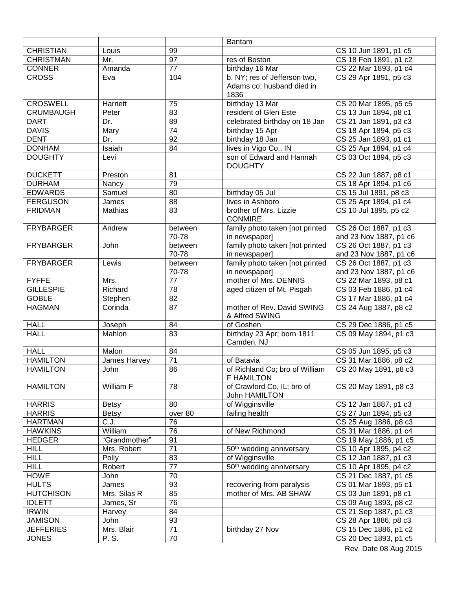|                  |               |                       | <b>Bantam</b>                                |                        |
|------------------|---------------|-----------------------|----------------------------------------------|------------------------|
| <b>CHRISTIAN</b> | Louis         | 99                    |                                              | CS 10 Jun 1891, p1 c5  |
| <b>CHRISTMAN</b> | Mr.           | $\overline{97}$       | res of Boston                                | CS 18 Feb 1891, p1 c2  |
| <b>CONNER</b>    | Amanda        | $\overline{77}$       | birthday 16 Mar                              | CS 22 Mar 1893, p1 c4  |
| <b>CROSS</b>     | Eva           | 104                   | b. NY; res of Jefferson twp,                 | CS 29 Apr 1891, p5 c3  |
|                  |               |                       | Adams co; husband died in                    |                        |
|                  |               |                       | 1836                                         |                        |
| <b>CROSWELL</b>  | Harriett      | 75                    | birthday 13 Mar                              | CS 20 Mar 1895, p5 c5  |
| <b>CRUMBAUGH</b> | Peter         | $\overline{83}$       | resident of Glen Este                        | CS 13 Jun 1894, p8 c1  |
| <b>DART</b>      | Dr.           | 89                    | celebrated birthday on 18 Jan                | CS 21 Jan 1891, p3 c3  |
| <b>DAVIS</b>     | Mary          | $\overline{74}$       | birthday 15 Apr                              | CS 18 Apr 1894, p5 c3  |
| <b>DENT</b>      | Dr.           | 92                    | birthday 18 Jan                              | CS 25 Jan 1893, p1 c1  |
| <b>DONHAM</b>    | Isaiah        | 84                    | lives in Vigo Co., IN                        | CS 25 Apr 1894, p1 c4  |
| <b>DOUGHTY</b>   | Levi          |                       | son of Edward and Hannah                     | CS 03 Oct 1894, p5 c3  |
|                  |               |                       | <b>DOUGHTY</b>                               |                        |
| <b>DUCKETT</b>   | Preston       | 81                    |                                              | CS 22 Jun 1887, p8 c1  |
| <b>DURHAM</b>    | Nancy         | 79                    |                                              | CS 18 Apr 1894, p1 c6  |
| <b>EDWARDS</b>   | Samuel        | 80                    | birthday 05 Jul                              | CS 15 Jul 1891, p8 c3  |
| <b>FERGUSON</b>  | James         | 88                    | lives in Ashboro                             | CS 25 Apr 1894, p1 c4  |
| <b>FRIDMAN</b>   | Mathias       | 83                    | brother of Mrs. Lizzie                       | CS 10 Jul 1895, p5 c2  |
|                  |               |                       | <b>CONMIRE</b>                               |                        |
| <b>FRYBARGER</b> | Andrew        | between               | family photo taken [not printed              | CS 26 Oct 1887, p1 c3  |
|                  |               | 70-78                 | in newspaper]                                | and 23 Nov 1887, p1 c6 |
| <b>FRYBARGER</b> | John          | between               | family photo taken [not printed              | CS 26 Oct 1887, p1 c3  |
|                  |               | 70-78                 | in newspaper]                                | and 23 Nov 1887, p1 c6 |
| <b>FRYBARGER</b> | Lewis         | between               | family photo taken [not printed              | CS 26 Oct 1887, p1 c3  |
|                  |               | 70-78                 | in newspaper]                                | and 23 Nov 1887, p1 c6 |
| <b>FYFFE</b>     | Mrs.          | 77                    | mother of Mrs. DENNIS                        | CS 22 Mar 1893, p8 c1  |
| <b>GILLESPIE</b> | Richard       | 78                    | aged citizen of Mt. Pisgah                   | CS 03 Feb 1886, p1 c4  |
| <b>GOBLE</b>     | Stephen       | 82                    |                                              | CS 17 Mar 1886, p1 c4  |
| <b>HAGMAN</b>    | Corinda       | 87                    | mother of Rev. David SWING<br>& Alfred SWING | CS 24 Aug 1887, p8 c2  |
| <b>HALL</b>      | Joseph        | 84                    | of Goshen                                    | CS 29 Dec 1886, p1 c5  |
| <b>HALL</b>      | Mahlon        | 83                    | birthday 23 Apr; born 1811                   | CS 09 May 1894, p1 c3  |
|                  |               |                       | Camden, NJ                                   |                        |
| <b>HALL</b>      | Malon         | 84                    |                                              | CS 05 Jun 1895, p5 c3  |
| <b>HAMILTON</b>  | James Harvey  | $\overline{71}$       | of Batavia                                   | CS 31 Mar 1886, p8 c2  |
| <b>HAMILTON</b>  | John          | 86                    | of Richland Co; bro of William               | CS 20 May 1891, p8 c3  |
|                  |               |                       | F HAMILTON                                   |                        |
| <b>HAMILTON</b>  | William F     | 78                    | of Crawford Co, IL; bro of                   | CS 20 May 1891, p8 c3  |
|                  |               |                       | John HAMILTON                                |                        |
| <b>HARRIS</b>    | <b>Betsy</b>  | 80                    | of Wigginsville                              | CS 12 Jan 1887, p1 c3  |
| <b>HARRIS</b>    | <b>Betsy</b>  | over 80               | failing health                               | CS 27 Jun 1894, p5 c3  |
| <b>HARTMAN</b>   | C.J.          | 76                    |                                              | CS 25 Aug 1886, p8 c3  |
| <b>HAWKINS</b>   | William       | $\overline{76}$       | of New Richmond                              | CS 31 Mar 1886, p1 c4  |
| <b>HEDGER</b>    | "Grandmother" | 91                    |                                              | CS 19 May 1886, p1 c5  |
| <b>HILL</b>      | Mrs. Robert   | $\overline{71}$       | 50 <sup>th</sup> wedding anniversary         | CS 10 Apr 1895, p4 c2  |
| <b>HILL</b>      | Polly         | 83                    | of Wigginsville                              | CS 12 Jan 1887, p1 c3  |
| <b>HILL</b>      | Robert        | $\overline{77}$       | 50 <sup>th</sup> wedding anniversary         | CS 10 Apr 1895, p4 c2  |
| <b>HOWE</b>      | John          | 70                    |                                              | CS 21 Dec 1887, p1 c5  |
| <b>HULTS</b>     | James         | 93                    | recovering from paralysis                    | CS 01 Mar 1893, p5 c1  |
| <b>HUTCHISON</b> | Mrs. Silas R  | 85                    | mother of Mrs. AB SHAW                       | CS 03 Jun 1891, p8 c1  |
| <b>IDLETT</b>    | James, Sr     | $\overline{76}$       |                                              | CS 09 Aug 1893, p8 c2  |
| <b>IRWIN</b>     | Harvey        | 84                    |                                              | CS 21 Sep 1887, p1 c3  |
| <b>JAMISON</b>   | John          | 93<br>$\overline{71}$ |                                              | CS 28 Apr 1886, p8 c3  |
| <b>JEFFERIES</b> | Mrs. Blair    | 70                    | birthday 27 Nov                              | CS 15 Dec 1886, p1 c2  |
| <b>JONES</b>     | P. S.         |                       |                                              | CS 20 Dec 1893, p1 c5  |

Rev. Date 08 Aug 2015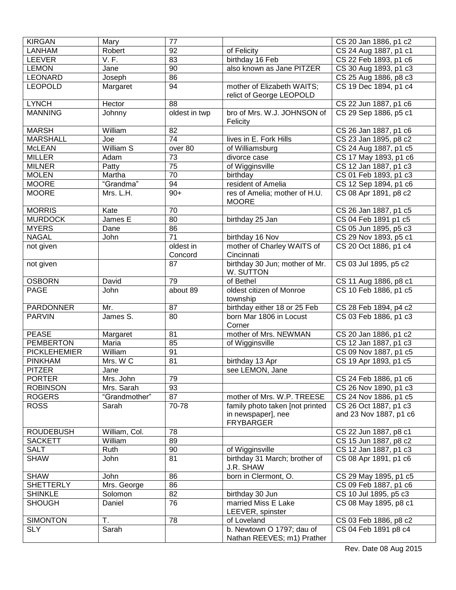| <b>KIRGAN</b>       | Mary             | 77              |                                                         | CS 20 Jan 1886, p1 c2  |
|---------------------|------------------|-----------------|---------------------------------------------------------|------------------------|
| <b>LANHAM</b>       | Robert           | $\overline{92}$ | of Felicity                                             | CS 24 Aug 1887, p1 c1  |
| LEEVER              | <b>V.F.</b>      | 83              | birthday 16 Feb                                         | CS 22 Feb 1893, p1 c6  |
| <b>LEMON</b>        | Jane             | 90              | also known as Jane PITZER                               | CS 30 Aug 1893, p1 c3  |
| <b>LEONARD</b>      | Joseph           | 86              |                                                         | CS 25 Aug 1886, p8 c3  |
| <b>LEOPOLD</b>      | Margaret         | 94              | mother of Elizabeth WAITS;<br>relict of George LEOPOLD  | CS 19 Dec 1894, p1 c4  |
| <b>LYNCH</b>        | Hector           | 88              |                                                         | CS 22 Jun 1887, p1 c6  |
| <b>MANNING</b>      | Johnny           | oldest in twp   | bro of Mrs. W.J. JOHNSON of<br>Felicity                 | CS 29 Sep 1886, p5 c1  |
| <b>MARSH</b>        | William          | $\overline{82}$ |                                                         | CS 26 Jan 1887, p1 c6  |
| <b>MARSHALL</b>     | Joe              | $\overline{74}$ | lives in E. Fork Hills                                  | CS 23 Jan 1895, p8 c2  |
| <b>McLEAN</b>       | <b>William S</b> | over 80         | of Williamsburg                                         | CS 24 Aug 1887, p1 c5  |
| <b>MILLER</b>       | Adam             | $\overline{73}$ | divorce case                                            | CS 17 May 1893, p1 c6  |
| <b>MILNER</b>       | Patty            | $\overline{75}$ | of Wigginsville                                         | CS 12 Jan 1887, p1 c3  |
| <b>MOLEN</b>        | Martha           | $\overline{70}$ | birthday                                                | CS 01 Feb 1893, p1 c3  |
| <b>MOORE</b>        | "Grandma"        | $\overline{94}$ | resident of Amelia                                      | CS 12 Sep 1894, p1 c6  |
| <b>MOORE</b>        | Mrs. L.H.        | $90+$           | res of Amelia; mother of H.U.<br><b>MOORE</b>           | CS 08 Apr 1891, p8 c2  |
| <b>MORRIS</b>       | Kate             | 70              |                                                         | CS 26 Jan 1887, p1 c5  |
| <b>MURDOCK</b>      | James E          | 80              | birthday 25 Jan                                         | CS 04 Feb 1891 p1 c5   |
| <b>MYERS</b>        | Dane             | 86              |                                                         | CS 05 Jun 1895, p5 c3  |
| <b>NAGAL</b>        | John             | 71              | birthday 16 Nov                                         | CS 29 Nov 1893, p5 c1  |
| not given           |                  | oldest in       | mother of Charley WAITS of                              | CS 20 Oct 1886, p1 c4  |
|                     |                  | Concord         | Cincinnati                                              |                        |
| not given           |                  | 87              | birthday 30 Jun; mother of Mr.<br>W. SUTTON             | CS 03 Jul 1895, p5 c2  |
| <b>OSBORN</b>       | David            | 79              | of Bethel                                               | CS 11 Aug 1886, p8 c1  |
| <b>PAGE</b>         | John             | about 89        | oldest citizen of Monroe<br>township                    | CS 10 Feb 1886, p1 c5  |
| <b>PARDONNER</b>    | Mr.              | 87              | birthday either 18 or 25 Feb                            | CS 28 Feb 1894, p4 c2  |
| <b>PARVIN</b>       | James S.         | 80              | born Mar 1806 in Locust<br>Corner                       | CS 03 Feb 1886, p1 c3  |
| <b>PEASE</b>        | Margaret         | 81              | mother of Mrs. NEWMAN                                   | CS 20 Jan 1886, p1 c2  |
| <b>PEMBERTON</b>    | Maria            | 85              | of Wigginsville                                         | CS 12 Jan 1887, p1 c3  |
| <b>PICKLEHEMIER</b> | William          | 91              |                                                         | CS 09 Nov 1887, p1 c5  |
| <b>PINKHAM</b>      | Mrs. W C         | 81              | birthday 13 Apr                                         | CS 19 Apr 1893, p1 c5  |
| <b>PITZER</b>       | Jane             |                 | see LEMON, Jane                                         |                        |
| <b>PORTER</b>       | Mrs. John        | 79              |                                                         | CS 24 Feb 1886, p1 c6  |
| <b>ROBINSON</b>     | Mrs. Sarah       | 93              |                                                         | CS 26 Nov 1890, p1 c3  |
| <b>ROGERS</b>       | "Grandmother"    | 87              | mother of Mrs. W.P. TREESE                              | CS 24 Nov 1886, p1 c5  |
| <b>ROSS</b>         | Sarah            | 70-78           | family photo taken [not printed                         | CS 26 Oct 1887, p1 c3  |
|                     |                  |                 | in newspaper], nee<br><b>FRYBARGER</b>                  | and 23 Nov 1887, p1 c6 |
| <b>ROUDEBUSH</b>    | William, Col.    | 78              |                                                         | CS 22 Jun 1887, p8 c1  |
| <b>SACKETT</b>      | William          | 89              |                                                         | CS 15 Jun 1887, p8 c2  |
| <b>SALT</b>         | Ruth             | 90              | of Wigginsville                                         | CS 12 Jan 1887, p1 c3  |
| <b>SHAW</b>         | John             | 81              | birthday 31 March; brother of<br>J.R. SHAW              | CS 08 Apr 1891, p1 c6  |
| <b>SHAW</b>         | John             | 86              | born in Clermont, O.                                    | CS 29 May 1895, p1 c5  |
| <b>SHETTERLY</b>    | Mrs. George      | 86              |                                                         | CS 09 Feb 1887, p1 c6  |
| <b>SHINKLE</b>      | Solomon          | 82              | birthday 30 Jun                                         | CS 10 Jul 1895, p5 c3  |
| <b>SHOUGH</b>       | Daniel           | 76              | married Miss E Lake<br>LEEVER, spinster                 | CS 08 May 1895, p8 c1  |
| <b>SIMONTON</b>     | Τ.               | 78              | of Loveland                                             | CS 03 Feb 1886, p8 c2  |
| <b>SLY</b>          | Sarah            |                 | b. Newtown O 1797; dau of<br>Nathan REEVES; m1) Prather | CS 04 Feb 1891 p8 c4   |